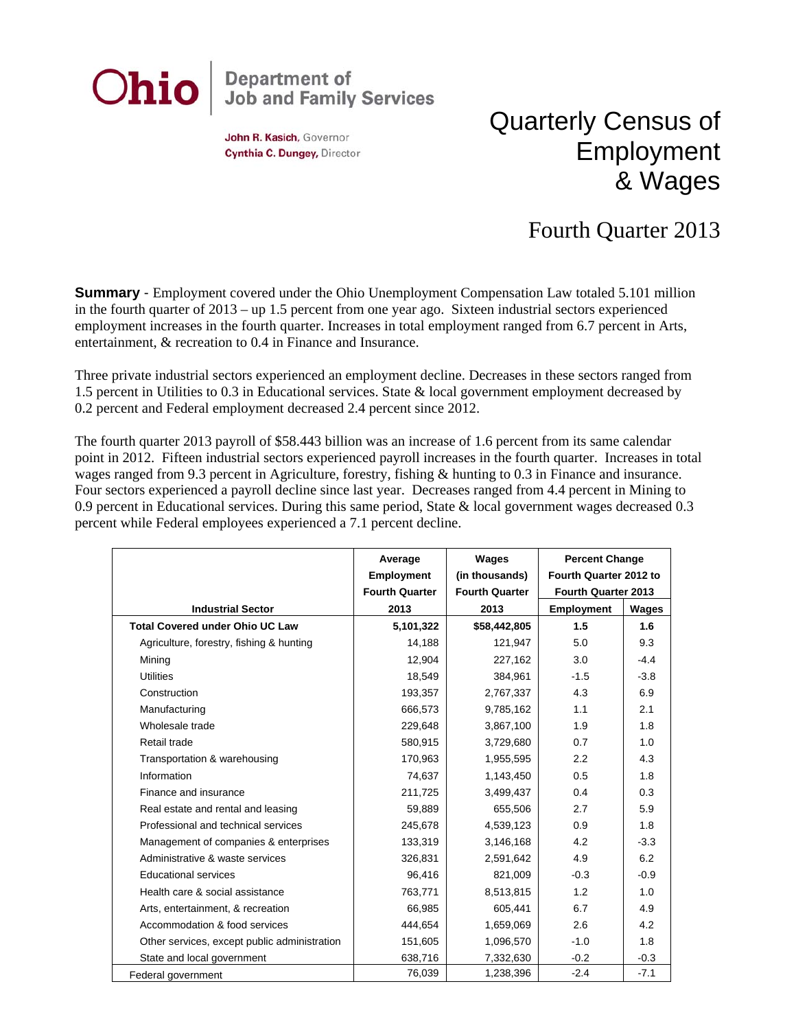

John R. Kasich, Governor Cynthia C. Dungey, Director

## Quarterly Census of Employment & Wages

## Fourth Quarter 2013

**Summary** - Employment covered under the Ohio Unemployment Compensation Law totaled 5.101 million in the fourth quarter of 2013 – up 1.5 percent from one year ago. Sixteen industrial sectors experienced employment increases in the fourth quarter. Increases in total employment ranged from 6.7 percent in Arts, entertainment, & recreation to 0.4 in Finance and Insurance.

Three private industrial sectors experienced an employment decline. Decreases in these sectors ranged from 1.5 percent in Utilities to 0.3 in Educational services. State & local government employment decreased by 0.2 percent and Federal employment decreased 2.4 percent since 2012.

The fourth quarter 2013 payroll of \$58.443 billion was an increase of 1.6 percent from its same calendar point in 2012. Fifteen industrial sectors experienced payroll increases in the fourth quarter. Increases in total wages ranged from 9.3 percent in Agriculture, forestry, fishing & hunting to 0.3 in Finance and insurance. Four sectors experienced a payroll decline since last year. Decreases ranged from 4.4 percent in Mining to 0.9 percent in Educational services. During this same period, State & local government wages decreased 0.3 percent while Federal employees experienced a 7.1 percent decline.

|                                              | Average               | Wages                 | <b>Percent Change</b>  |        |
|----------------------------------------------|-----------------------|-----------------------|------------------------|--------|
|                                              | <b>Employment</b>     | (in thousands)        | Fourth Quarter 2012 to |        |
|                                              | <b>Fourth Quarter</b> | <b>Fourth Quarter</b> | Fourth Quarter 2013    |        |
| <b>Industrial Sector</b>                     | 2013                  | 2013                  | <b>Employment</b>      | Wages  |
| <b>Total Covered under Ohio UC Law</b>       | 5,101,322             | \$58,442,805          | 1.5                    | 1.6    |
| Agriculture, forestry, fishing & hunting     | 14,188                | 121,947               | 5.0                    | 9.3    |
| Mining                                       | 12,904                | 227,162               | 3.0                    | $-4.4$ |
| <b>Utilities</b>                             | 18,549                | 384,961               | $-1.5$                 | $-3.8$ |
| Construction                                 | 193,357               | 2,767,337             | 4.3                    | 6.9    |
| Manufacturing                                | 666,573               | 9,785,162             | 1.1                    | 2.1    |
| Wholesale trade                              | 229,648               | 3,867,100             | 1.9                    | 1.8    |
| Retail trade                                 | 580,915               | 3,729,680             | 0.7                    | 1.0    |
| Transportation & warehousing                 | 170,963               | 1,955,595             | 2.2                    | 4.3    |
| Information                                  | 74,637                | 1,143,450             | 0.5                    | 1.8    |
| Finance and insurance                        | 211,725               | 3,499,437             | 0.4                    | 0.3    |
| Real estate and rental and leasing           | 59,889                | 655,506               | 2.7                    | 5.9    |
| Professional and technical services          | 245,678               | 4,539,123             | 0.9                    | 1.8    |
| Management of companies & enterprises        | 133,319               | 3,146,168             | 4.2                    | $-3.3$ |
| Administrative & waste services              | 326,831               | 2,591,642             | 4.9                    | 6.2    |
| Educational services                         | 96,416                | 821,009               | $-0.3$                 | $-0.9$ |
| Health care & social assistance              | 763,771               | 8,513,815             | 1.2                    | 1.0    |
| Arts, entertainment, & recreation            | 66,985                | 605,441               | 6.7                    | 4.9    |
| Accommodation & food services                | 444,654               | 1,659,069             | 2.6                    | 4.2    |
| Other services, except public administration | 151,605               | 1,096,570             | $-1.0$                 | 1.8    |
| State and local government                   | 638,716               | 7,332,630             | $-0.2$                 | $-0.3$ |
| Federal government                           | 76,039                | 1,238,396             | $-2.4$                 | $-7.1$ |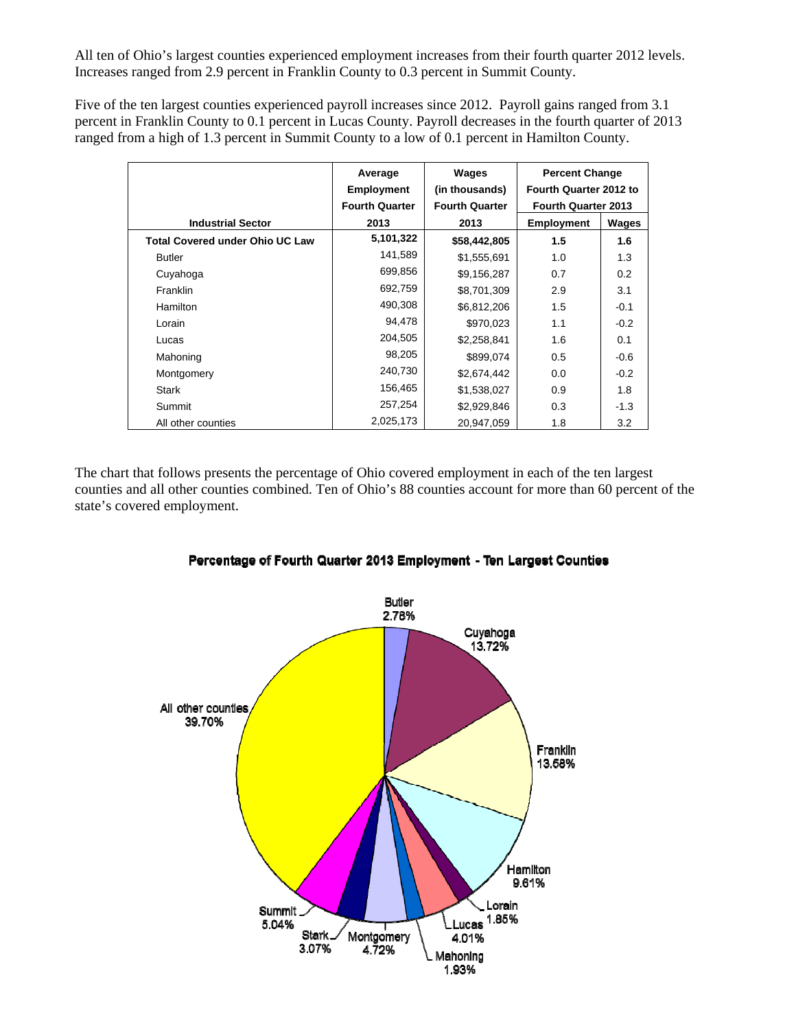All ten of Ohio's largest counties experienced employment increases from their fourth quarter 2012 levels. Increases ranged from 2.9 percent in Franklin County to 0.3 percent in Summit County.

Five of the ten largest counties experienced payroll increases since 2012. Payroll gains ranged from 3.1 percent in Franklin County to 0.1 percent in Lucas County. Payroll decreases in the fourth quarter of 2013 ranged from a high of 1.3 percent in Summit County to a low of 0.1 percent in Hamilton County.

|                                        | Average<br><b>Employment</b> | Wages<br>(in thousands) | <b>Percent Change</b><br>Fourth Quarter 2012 to |              |
|----------------------------------------|------------------------------|-------------------------|-------------------------------------------------|--------------|
|                                        | <b>Fourth Quarter</b>        | <b>Fourth Quarter</b>   | <b>Fourth Quarter 2013</b>                      |              |
| <b>Industrial Sector</b>               | 2013                         | 2013                    | <b>Employment</b>                               | <b>Wages</b> |
| <b>Total Covered under Ohio UC Law</b> | 5,101,322                    | \$58,442,805            | 1.5                                             | 1.6          |
| <b>Butler</b>                          | 141,589                      | \$1,555,691             | 1.0                                             | 1.3          |
| Cuyahoga                               | 699,856                      | \$9,156,287             | 0.7                                             | 0.2          |
| <b>Franklin</b>                        | 692,759                      | \$8,701,309             | 2.9                                             | 3.1          |
| <b>Hamilton</b>                        | 490,308                      | \$6,812,206             | 1.5                                             | $-0.1$       |
| Lorain                                 | 94,478                       | \$970,023               | 1.1                                             | $-0.2$       |
| Lucas                                  | 204,505                      | \$2,258,841             | 1.6                                             | 0.1          |
| Mahoning                               | 98,205                       | \$899,074               | 0.5                                             | $-0.6$       |
| Montgomery                             | 240,730                      | \$2,674,442             | 0.0                                             | $-0.2$       |
| Stark                                  | 156,465                      | \$1,538,027             | 0.9                                             | 1.8          |
| Summit                                 | 257,254                      | \$2,929,846             | 0.3                                             | $-1.3$       |
| All other counties                     | 2,025,173                    | 20.947.059              | 1.8                                             | 3.2          |

The chart that follows presents the percentage of Ohio covered employment in each of the ten largest counties and all other counties combined. Ten of Ohio's 88 counties account for more than 60 percent of the state's covered employment.



## Percentage of Fourth Quarter 2013 Employment - Ten Largest Counties